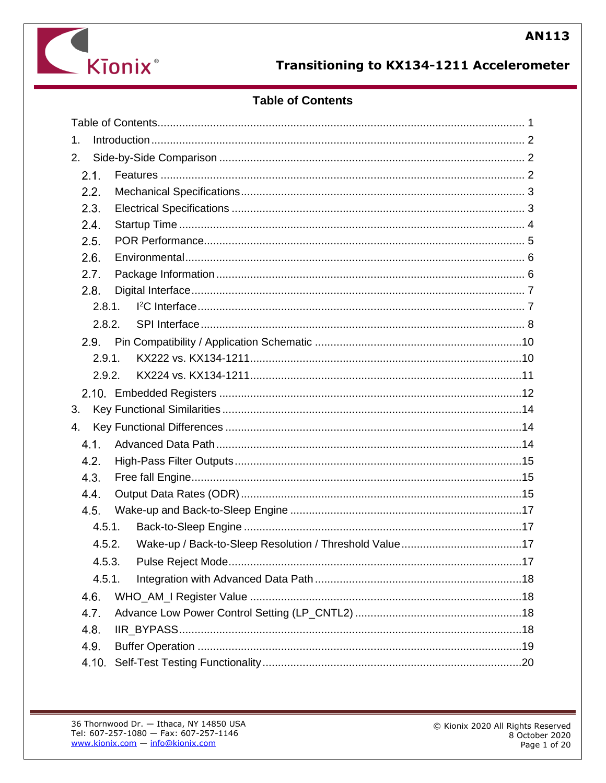

# **Transitioning to KX134-1211 Accelerometer**

# **Table of Contents**

<span id="page-0-0"></span>

| 1.      |  |
|---------|--|
| 2.      |  |
| 2.1.    |  |
| 2.2.    |  |
| 2.3.    |  |
| 2.4.    |  |
| 2.5.    |  |
| 2.6.    |  |
| 2.7.    |  |
| 2.8.    |  |
| 2.8.1.  |  |
| 2.8.2.  |  |
| $2.9 -$ |  |
| 2.9.1.  |  |
| 2.9.2.  |  |
|         |  |
| 3.      |  |
| 4.      |  |
| 4.1.    |  |
| 4.2.    |  |
| 4.3.    |  |
| 4.4.    |  |
| 4.5.    |  |
| 4.5.1.  |  |
| 4.5.2.  |  |
| 4.5.3.  |  |
| 4.5.1.  |  |
| 4.6.    |  |
| 4.7.    |  |
| 4.8.    |  |
| 4.9.    |  |
| 4.10.   |  |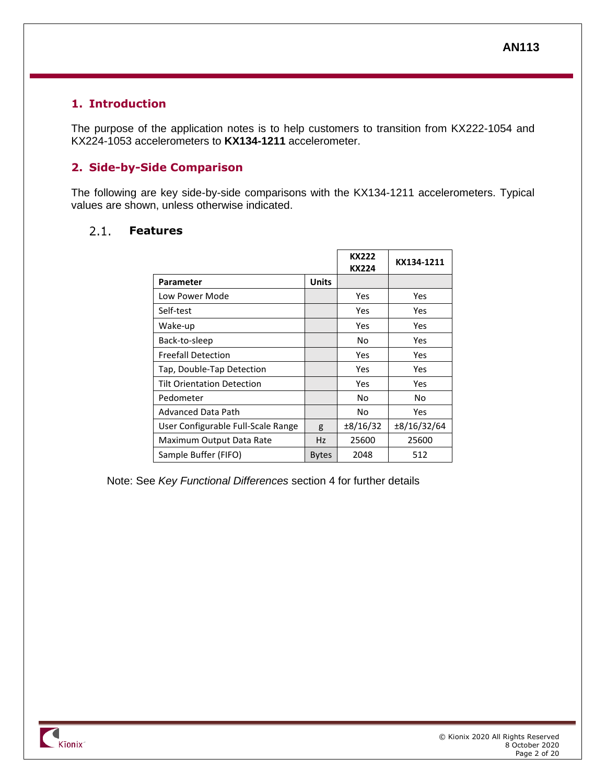# <span id="page-1-0"></span>**1. Introduction**

The purpose of the application notes is to help customers to transition from KX222-1054 and KX224-1053 accelerometers to **KX134-1211** accelerometer.

# <span id="page-1-1"></span>**2. Side-by-Side Comparison**

The following are key side-by-side comparisons with the KX134-1211 accelerometers. Typical values are shown, unless otherwise indicated.

#### <span id="page-1-2"></span> $2.1.$ **Features**

|                                    |              | <b>KX222</b><br>KX224 | KX134-1211  |
|------------------------------------|--------------|-----------------------|-------------|
| Parameter                          | <b>Units</b> |                       |             |
| Low Power Mode                     |              | Yes                   | Yes         |
| Self-test                          |              | Yes                   | Yes         |
| Wake-up                            |              | Yes                   | Yes         |
| Back-to-sleep                      |              | No                    | Yes         |
| <b>Freefall Detection</b>          |              | Yes                   | Yes         |
| Tap, Double-Tap Detection          |              | Yes                   | Yes         |
| <b>Tilt Orientation Detection</b>  |              | Yes                   | Yes         |
| Pedometer                          |              | No                    | No          |
| <b>Advanced Data Path</b>          |              | No                    | Yes         |
| User Configurable Full-Scale Range | g            | $\pm 8/16/32$         | ±8/16/32/64 |
| Maximum Output Data Rate           | <b>Hz</b>    | 25600                 | 25600       |
| Sample Buffer (FIFO)               | <b>Bytes</b> | 2048                  | 512         |

Note: See *[Key Functional Differences](#page-13-1)* section [4](#page-13-1) for further details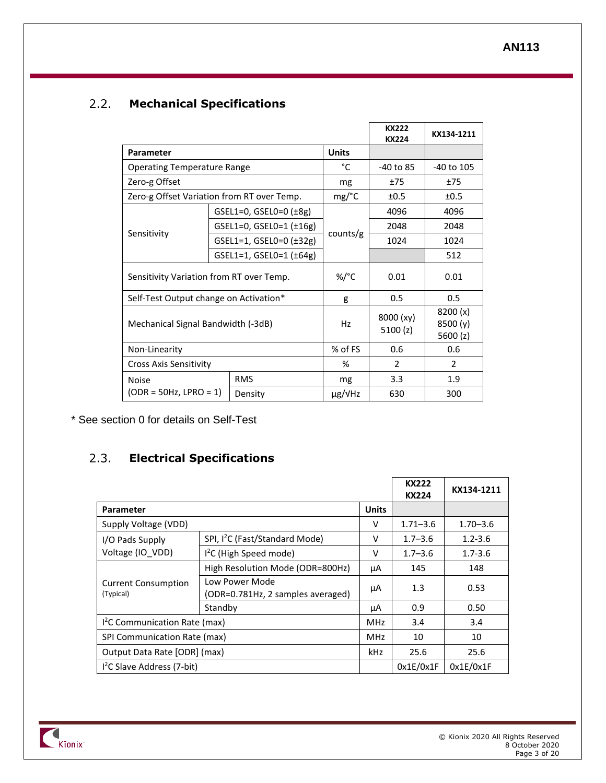### <span id="page-2-0"></span> $2.2.$ **Mechanical Specifications**

|                                            |                                        |                                  |                      | <b>KX222</b><br><b>KX224</b>      | KX134-1211 |
|--------------------------------------------|----------------------------------------|----------------------------------|----------------------|-----------------------------------|------------|
| Parameter                                  |                                        |                                  | <b>Units</b>         |                                   |            |
| <b>Operating Temperature Range</b>         |                                        |                                  | °C                   | -40 to 85                         | -40 to 105 |
| Zero-g Offset                              |                                        |                                  | mg                   | ±75                               | ±75        |
| Zero-g Offset Variation from RT over Temp. |                                        |                                  | mg/°C                | ±0.5                              | ±0.5       |
|                                            |                                        | $GSEL1=0$ , $GSEL0=0$ $(\pm 8g)$ |                      | 4096                              | 4096       |
| Sensitivity                                |                                        | GSEL1=0, GSEL0=1 $(±16g)$        |                      | 2048                              | 2048       |
|                                            |                                        | GSEL1=1, GSEL0=0 (±32g)          | counts/g             | 1024                              | 1024       |
|                                            |                                        | GSEL1=1, GSEL0=1 (±64g)          |                      |                                   | 512        |
| Sensitivity Variation from RT over Temp.   |                                        | %/°C                             | 0.01                 | 0.01                              |            |
|                                            | Self-Test Output change on Activation* |                                  | g                    | 0.5                               | 0.5        |
| Mechanical Signal Bandwidth (-3dB)         |                                        | Hz                               | 8000 (xy)<br>5100(z) | 8200(x)<br>8500 (y)<br>5600 $(z)$ |            |
| Non-Linearity                              |                                        | % of FS                          | 0.6                  | 0.6                               |            |
| <b>Cross Axis Sensitivity</b>              |                                        | %                                | $\mathcal{P}$        | 2                                 |            |
| <b>Noise</b>                               |                                        | <b>RMS</b>                       | mg                   | 3.3                               | 1.9        |
| $(ODR = 50Hz, LPRO = 1)$                   |                                        | Density                          | $\mu$ g/VHz          | 630                               | 300        |

\* See section [0](#page-18-1) for details on Self-Test

### <span id="page-2-1"></span>**Electrical Specifications**  $2.3.$

|                                         |                                                     |              | <b>KX222</b><br>KX224 | KX134-1211   |
|-----------------------------------------|-----------------------------------------------------|--------------|-----------------------|--------------|
| <b>Parameter</b>                        |                                                     | <b>Units</b> |                       |              |
| Supply Voltage (VDD)                    |                                                     | ν            | $1.71 - 3.6$          | $1.70 - 3.6$ |
| I/O Pads Supply                         | SPI, I <sup>2</sup> C (Fast/Standard Mode)          | v            | $1.7 - 3.6$           | $1.2 - 3.6$  |
| Voltage (IO VDD)                        | $I2C$ (High Speed mode)                             | v            | $1.7 - 3.6$           | $1.7 - 3.6$  |
| <b>Current Consumption</b><br>(Typical) | High Resolution Mode (ODR=800Hz)                    | μA           | 145                   | 148          |
|                                         | Low Power Mode<br>(ODR=0.781Hz, 2 samples averaged) | μA           | 1.3                   | 0.53         |
|                                         | Standby                                             | μA           | 0.9                   | 0.50         |
| $I2C$ Communication Rate (max)          |                                                     | MHz          | 3.4                   | 3.4          |
| SPI Communication Rate (max)            |                                                     | MHz          | 10                    | 10           |
| Output Data Rate [ODR] (max)            |                                                     | kHz          | 25.6                  | 25.6         |
| $I2C$ Slave Address (7-bit)             |                                                     |              | 0x1E/0x1F             | 0x1E/0x1F    |

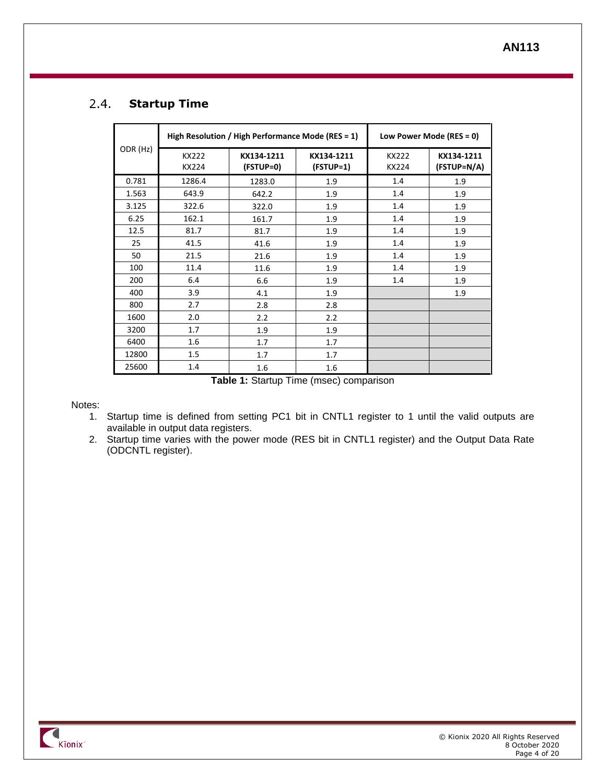### <span id="page-3-0"></span> $2.4.$ **Startup Time**

|          |                       | High Resolution / High Performance Mode (RES = 1) | Low Power Mode (RES = 0)  |                       |                           |
|----------|-----------------------|---------------------------------------------------|---------------------------|-----------------------|---------------------------|
| ODR (Hz) | <b>KX222</b><br>KX224 | KX134-1211<br>(FSTUP=0)                           | KX134-1211<br>$(FSTUP=1)$ | <b>KX222</b><br>KX224 | KX134-1211<br>(FSTUP=N/A) |
| 0.781    | 1286.4                | 1283.0                                            | 1.9                       | 1.4                   | 1.9                       |
| 1.563    | 643.9                 | 642.2                                             | 1.9                       | 1.4                   | 1.9                       |
| 3.125    | 322.6                 | 322.0                                             | 1.9                       | 1.4                   | 1.9                       |
| 6.25     | 162.1                 | 161.7                                             | 1.9                       | 1.4                   | 1.9                       |
| 12.5     | 81.7                  | 81.7                                              | 1.9                       | 1.4                   | 1.9                       |
| 25       | 41.5                  | 41.6                                              | 1.9                       | 1.4                   | 1.9                       |
| 50       | 21.5                  | 21.6                                              | 1.9                       | 1.4                   | 1.9                       |
| 100      | 11.4                  | 11.6                                              | 1.9                       | 1.4                   | 1.9                       |
| 200      | 6.4                   | 6.6                                               | 1.9                       | 1.4                   | 1.9                       |
| 400      | 3.9                   | 4.1                                               | 1.9                       |                       | 1.9                       |
| 800      | 2.7                   | 2.8                                               | 2.8                       |                       |                           |
| 1600     | 2.0                   | 2.2                                               | 2.2                       |                       |                           |
| 3200     | 1.7                   | 1.9                                               | 1.9                       |                       |                           |
| 6400     | 1.6                   | 1.7                                               | 1.7                       |                       |                           |
| 12800    | 1.5                   | 1.7                                               | 1.7                       |                       |                           |
| 25600    | 1.4                   | 1.6                                               | 1.6                       |                       |                           |

**Table 1:** Startup Time (msec) comparison

Notes:

- 1. Startup time is defined from setting PC1 bit in CNTL1 register to 1 until the valid outputs are available in output data registers.
- 2. Startup time varies with the power mode (RES bit in CNTL1 register) and the Output Data Rate (ODCNTL register).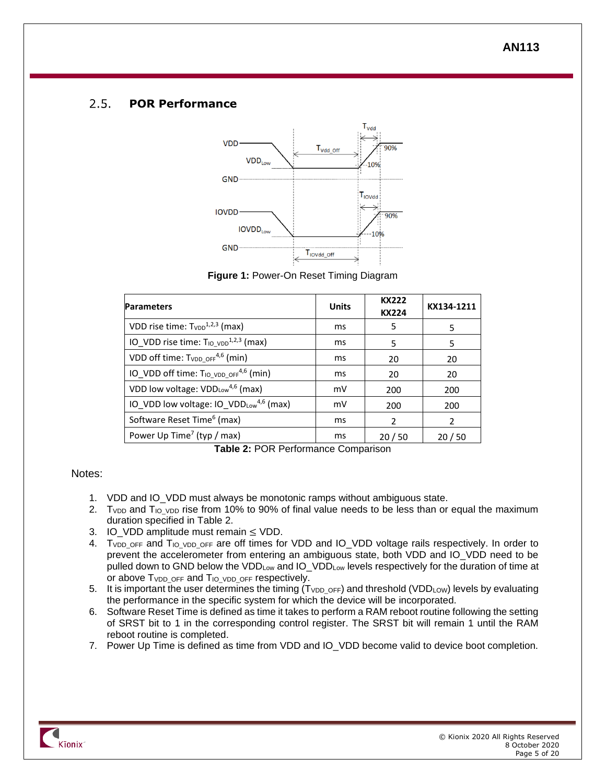#### <span id="page-4-0"></span> $2.5.$ **POR Performance**



**Figure 1:** Power-On Reset Timing Diagram

| <b>Parameters</b>                                             | <b>Units</b> | <b>KX222</b><br><b>KX224</b> | KX134-1211 |
|---------------------------------------------------------------|--------------|------------------------------|------------|
| VDD rise time: $T_{VDD}^{1,2,3}$ (max)                        | ms           | 5                            | 5          |
| IO VDD rise time: $T_{10_VDD}^{1,2,3}$ (max)                  | ms           | 5                            | 5          |
| VDD off time: $T_{VDD}$ off <sup>4,6</sup> (min)              | ms           | 20                           | 20         |
| IO VDD off time: T <sub>IO VDD OFF</sub> <sup>4,6</sup> (min) | ms           | 20                           | 20         |
| VDD low voltage: VDDLow <sup>4,6</sup> (max)                  | mV           | 200                          | 200        |
| IO VDD low voltage: IO VDDLow <sup>4,6</sup> (max)            | mV           | 200                          | 200        |
| Software Reset Time <sup>6</sup> (max)                        | ms           | $\mathfrak{p}$               | 2          |
| Power Up Time <sup>7</sup> (typ / max)                        | ms           | 20/50                        | 20/50      |

**Table 2:** POR Performance Comparison

### <span id="page-4-1"></span>Notes:

- 1. VDD and IO VDD must always be monotonic ramps without ambiguous state.
- 2. T<sub>VDD</sub> and T<sub>IO</sub> <sub>VDD</sub> rise from 10% to 90% of final value needs to be less than or equal the maximum duration specified in [Table 2.](#page-4-1)
- 3. IO VDD amplitude must remain  $\leq$  VDD.
- 4. TVDD\_OFF and TIO\_VDD\_OFF are off times for VDD and IO\_VDD voltage rails respectively. In order to prevent the accelerometer from entering an ambiguous state, both VDD and IO\_VDD need to be pulled down to GND below the VDD<sub>Low</sub> and IO\_VDD<sub>Low</sub> levels respectively for the duration of time at or above  $T_{VDD}$  or F and  $T_{IO}$  v<sub>DD</sub> or F respectively.
- 5. It is important the user determines the timing  $(T_{VDD \text{ OFF}})$  and threshold (VDD<sub>LOW</sub>) levels by evaluating the performance in the specific system for which the device will be incorporated.
- 6. Software Reset Time is defined as time it takes to perform a RAM reboot routine following the setting of SRST bit to 1 in the corresponding control register. The SRST bit will remain 1 until the RAM reboot routine is completed.
- 7. Power Up Time is defined as time from VDD and IO\_VDD become valid to device boot completion.

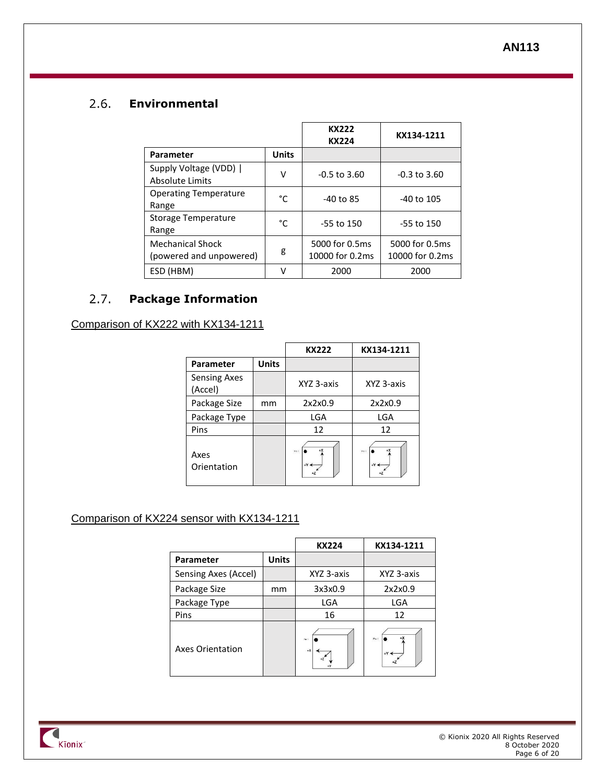### <span id="page-5-0"></span> $2.6$ **Environmental**

|                                                    |              | KX222<br><b>KX224</b>             | KX134-1211                        |
|----------------------------------------------------|--------------|-----------------------------------|-----------------------------------|
| Parameter                                          | <b>Units</b> |                                   |                                   |
| Supply Voltage (VDD)  <br>Absolute Limits          | V            | $-0.5$ to 3.60                    | $-0.3$ to $3.60$                  |
| <b>Operating Temperature</b><br>Range              | °C           | $-40$ to 85                       | -40 to 105                        |
| Storage Temperature<br>Range                       | °C           | -55 to 150                        | -55 to 150                        |
| <b>Mechanical Shock</b><br>(powered and unpowered) | g            | 5000 for 0.5ms<br>10000 for 0.2ms | 5000 for 0.5ms<br>10000 for 0.2ms |
| ESD (HBM)                                          | V            | 2000                              | 2000                              |

### <span id="page-5-1"></span> $2.7.$ **Package Information**

### Comparison of KX222 with KX134-1211

|                                |              | <b>KX222</b>          | KX134-1211                         |
|--------------------------------|--------------|-----------------------|------------------------------------|
| <b>Parameter</b>               | <b>Units</b> |                       |                                    |
| <b>Sensing Axes</b><br>(Accel) |              | XYZ 3-axis            | XYZ 3-axis                         |
| Package Size                   | mm           | 2x2x0.9               | 2x2x0.9                            |
| Package Type                   |              | LGA                   | LGA                                |
| Pins                           |              | 12                    | 12                                 |
| Axes<br>Orientation            |              | +X<br>Pn<br>$+Y \leq$ | $+X$<br>Pn 1<br>$+Y \triangleleft$ |

# Comparison of KX224 sensor with KX134-1211

|                      |              | <b>KX224</b>            | KX134-1211        |
|----------------------|--------------|-------------------------|-------------------|
| Parameter            | <b>Units</b> |                         |                   |
| Sensing Axes (Accel) |              | XYZ 3-axis              | XYZ 3-axis        |
| Package Size         | mm           | 3x3x0.9                 | 2x2x0.9           |
| Package Type         |              | LGA                     | <b>LGA</b>        |
| Pins                 |              | 16                      | 12                |
| Axes Orientation     |              | $\mu_{\rm H}$ :<br>$+X$ | Ph 1<br>$+Y \leq$ |

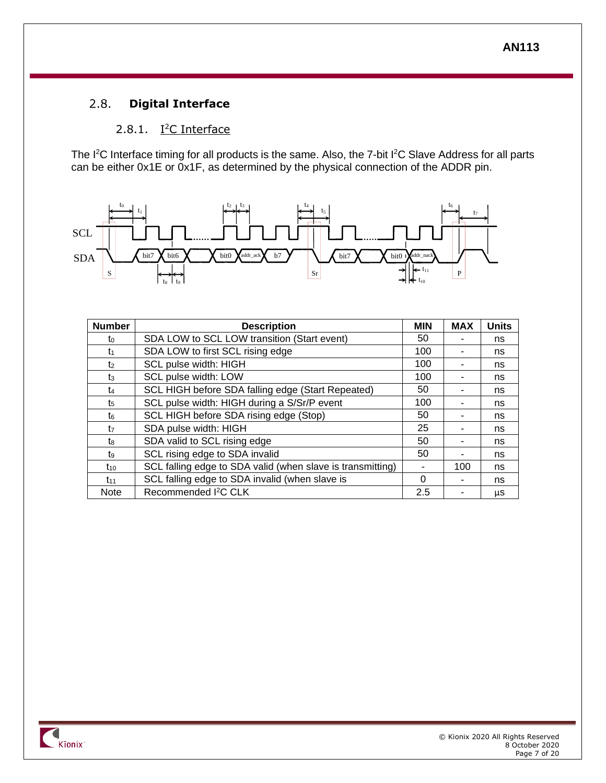### <span id="page-6-0"></span> $2.8.$ **Digital Interface**

# 2.8.1. I<sup>2</sup>C Interface

<span id="page-6-1"></span>The I<sup>2</sup>C Interface timing for all products is the same. Also, the 7-bit I<sup>2</sup>C Slave Address for all parts can be either 0x1E or  $0x1F$ , as determined by the physical connection of the ADDR pin.



| <b>Number</b>  | <b>Description</b>                                         | <b>MIN</b> | <b>MAX</b> | <b>Units</b> |
|----------------|------------------------------------------------------------|------------|------------|--------------|
| to             | SDA LOW to SCL LOW transition (Start event)                | 50         |            | ns           |
| t1             | SDA LOW to first SCL rising edge                           | 100        |            | ns           |
| t <sub>2</sub> | SCL pulse width: HIGH                                      | 100        |            | ns           |
| $t_3$          | SCL pulse width: LOW                                       | 100        |            | ns           |
| t4             | SCL HIGH before SDA falling edge (Start Repeated)          | 50         |            | ns           |
| t5             | SCL pulse width: HIGH during a S/Sr/P event                | 100        |            | ns           |
| t٤             | SCL HIGH before SDA rising edge (Stop)                     | 50         |            | ns           |
| t <sub>7</sub> | SDA pulse width: HIGH                                      | 25         |            | ns           |
| tg             | SDA valid to SCL rising edge                               | 50         |            | ns           |
| t.             | SCL rising edge to SDA invalid                             | 50         |            | ns           |
| $t_{10}$       | SCL falling edge to SDA valid (when slave is transmitting) |            | 100        | ns           |
| $t_{11}$       | SCL falling edge to SDA invalid (when slave is             | $\Omega$   |            | ns           |
| <b>Note</b>    | Recommended I <sup>2</sup> C CLK                           | 2.5        |            | μS           |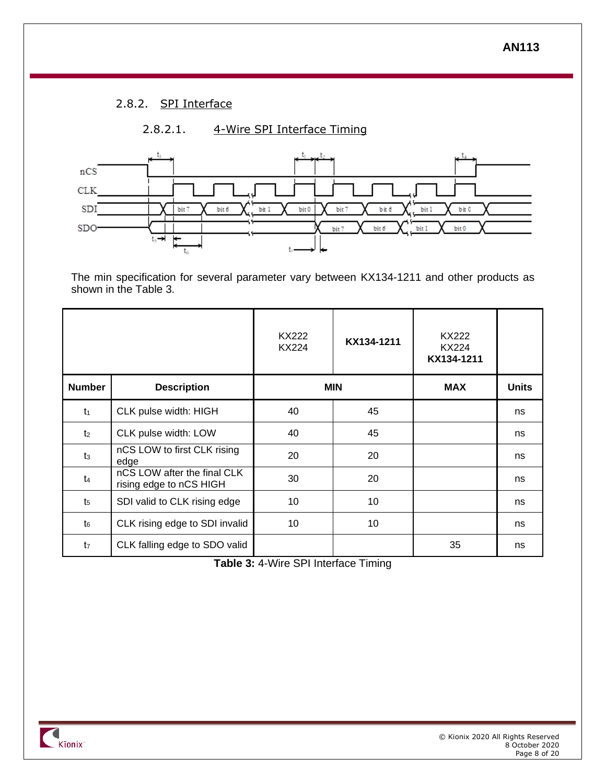# 2.8.2. SPI Interface

<span id="page-7-0"></span>

The min specification for several parameter vary between KX134-1211 and other products as shown in the [Table 3.](#page-7-1)

|                |                                                        | KX222<br><b>KX224</b> | KX134-1211 | KX222<br><b>KX224</b><br>KX134-1211 |              |
|----------------|--------------------------------------------------------|-----------------------|------------|-------------------------------------|--------------|
| <b>Number</b>  | <b>Description</b>                                     |                       | <b>MIN</b> | <b>MAX</b>                          | <b>Units</b> |
| $t_1$          | CLK pulse width: HIGH                                  | 40                    | 45         |                                     | ns           |
| t <sub>2</sub> | CLK pulse width: LOW                                   | 40                    | 45         |                                     | ns           |
| $t_3$          | nCS LOW to first CLK rising<br>edge                    | 20                    | 20         |                                     | ns           |
| t <sub>4</sub> | nCS LOW after the final CLK<br>rising edge to nCS HIGH | 30                    | 20         |                                     | ns           |
| t <sub>5</sub> | SDI valid to CLK rising edge                           | 10                    | 10         |                                     | ns           |
| $t_{6}$        | CLK rising edge to SDI invalid                         | 10                    | 10         |                                     | ns           |
| t <sub>7</sub> | CLK falling edge to SDO valid                          |                       |            | 35                                  | ns           |

<span id="page-7-1"></span>**Table 3:** 4-Wire SPI Interface Timing

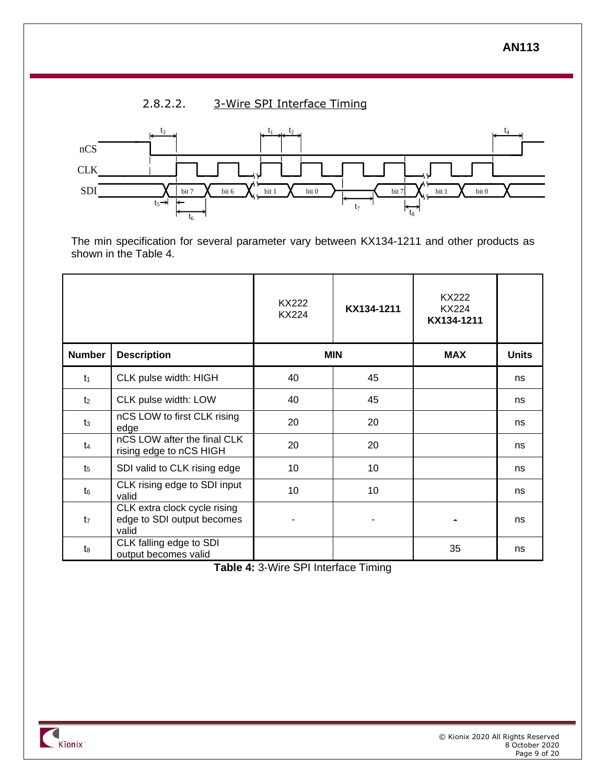# 2.8.2.2. 3-Wire SPI Interface Timing



The min specification for several parameter vary between KX134-1211 and other products as shown in the [Table 4.](#page-8-0)

|                |                                                                     | <b>KX222</b><br><b>KX224</b> | KX134-1211 | KX222<br>KX224<br>KX134-1211 |              |
|----------------|---------------------------------------------------------------------|------------------------------|------------|------------------------------|--------------|
| <b>Number</b>  | <b>Description</b>                                                  |                              | <b>MIN</b> | <b>MAX</b>                   | <b>Units</b> |
| $t_1$          | CLK pulse width: HIGH                                               | 40                           | 45         |                              | ns           |
| t <sub>2</sub> | CLK pulse width: LOW                                                | 40                           | 45         |                              | ns           |
| t <sub>3</sub> | nCS LOW to first CLK rising<br>edge                                 | 20                           | 20         |                              | ns           |
| t <sub>4</sub> | nCS LOW after the final CLK<br>rising edge to nCS HIGH              | 20                           | 20         |                              | ns           |
| t <sub>5</sub> | SDI valid to CLK rising edge                                        | 10                           | 10         |                              | ns           |
| t <sub>6</sub> | CLK rising edge to SDI input<br>valid                               | 10                           | 10         |                              | ns           |
| t <sub>7</sub> | CLK extra clock cycle rising<br>edge to SDI output becomes<br>valid |                              |            |                              | ns           |
| t8             | CLK falling edge to SDI<br>output becomes valid                     |                              |            | 35                           | ns           |

<span id="page-8-0"></span>**Table 4:** 3-Wire SPI Interface Timing

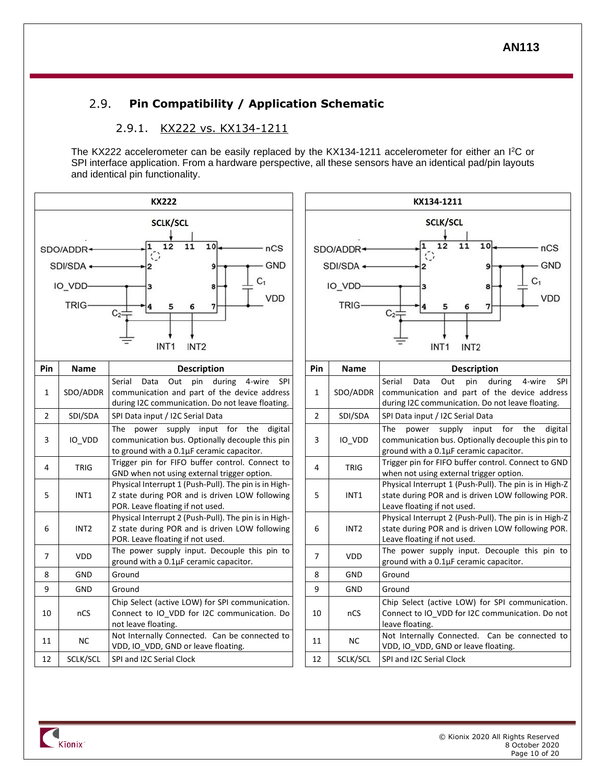### <span id="page-9-0"></span> $2.9.$ **Pin Compatibility / Application Schematic**

### 2.9.1. KX222 vs. KX134-1211

<span id="page-9-1"></span>The KX222 accelerometer can be easily replaced by the KX134-1211 accelerometer for either an I<sup>2</sup>C or SPI interface application. From a hardware perspective, all these sensors have an identical pad/pin layouts and identical pin functionality.





| <sup>o</sup> in | <b>Name</b>      | <b>Description</b>                                                                                                                                           | Pin            | <b>Name</b>      | <b>Description</b>                                                                                                                                          |  |  |
|-----------------|------------------|--------------------------------------------------------------------------------------------------------------------------------------------------------------|----------------|------------------|-------------------------------------------------------------------------------------------------------------------------------------------------------------|--|--|
| $\mathbf{1}$    | SDO/ADDR         | Out<br>pin during 4-wire<br>Serial<br>Data<br><b>SPI</b><br>communication and part of the device address<br>during I2C communication. Do not leave floating. | 1              | SDO/ADDR         | Serial<br>Out<br>pin<br>during<br>SPI<br>Data<br>4-wire<br>communication and part of the device address<br>during I2C communication. Do not leave floating. |  |  |
| $\overline{2}$  | SDI/SDA          | SPI Data input / I2C Serial Data                                                                                                                             | $\overline{2}$ | SDI/SDA          | SPI Data input / I2C Serial Data                                                                                                                            |  |  |
| 3               | IO VDD           | The power supply input for the digital<br>communication bus. Optionally decouple this pin<br>to ground with a 0.1µF ceramic capacitor.                       | 3              | IO VDD           | The<br>supply input for the<br>digital<br>power<br>communication bus. Optionally decouple this pin to<br>ground with a 0.1µF ceramic capacitor.             |  |  |
| 4               | <b>TRIG</b>      | Trigger pin for FIFO buffer control. Connect to<br>GND when not using external trigger option.                                                               | 4              | <b>TRIG</b>      | Trigger pin for FIFO buffer control. Connect to GND<br>when not using external trigger option.                                                              |  |  |
| 5               | INT1             | Physical Interrupt 1 (Push-Pull). The pin is in High-<br>Z state during POR and is driven LOW following<br>POR. Leave floating if not used.                  | 5              | INT1             | Physical Interrupt 1 (Push-Pull). The pin is in High-Z<br>state during POR and is driven LOW following POR.<br>Leave floating if not used.                  |  |  |
| 6               | INT <sub>2</sub> | Physical Interrupt 2 (Push-Pull). The pin is in High-<br>Z state during POR and is driven LOW following<br>POR. Leave floating if not used.                  | 6              | INT <sub>2</sub> | Physical Interrupt 2 (Push-Pull). The pin is in High-Z<br>state during POR and is driven LOW following POR.<br>Leave floating if not used.                  |  |  |
| $\overline{7}$  | <b>VDD</b>       | The power supply input. Decouple this pin to<br>ground with a 0.1µF ceramic capacitor.                                                                       | $\overline{7}$ | <b>VDD</b>       | The power supply input. Decouple this pin to<br>ground with a 0.1µF ceramic capacitor.                                                                      |  |  |
| 8               | <b>GND</b>       | Ground                                                                                                                                                       | 8              | GND              | Ground                                                                                                                                                      |  |  |
| 9               | <b>GND</b>       | Ground                                                                                                                                                       | 9              | <b>GND</b>       | Ground                                                                                                                                                      |  |  |
| 10              | nCS              | Chip Select (active LOW) for SPI communication.<br>Connect to IO VDD for I2C communication. Do<br>not leave floating.                                        | 10             | nCS              | Chip Select (active LOW) for SPI communication.<br>Connect to IO_VDD for I2C communication. Do not<br>leave floating.                                       |  |  |
| 11              | <b>NC</b>        | Not Internally Connected. Can be connected to<br>VDD, IO_VDD, GND or leave floating.                                                                         | 11             | <b>NC</b>        | Not Internally Connected. Can be connected to<br>VDD, IO_VDD, GND or leave floating.                                                                        |  |  |
| 12              | SCLK/SCL         | SPI and I2C Serial Clock                                                                                                                                     | 12             | SCLK/SCL         | SPI and I2C Serial Clock                                                                                                                                    |  |  |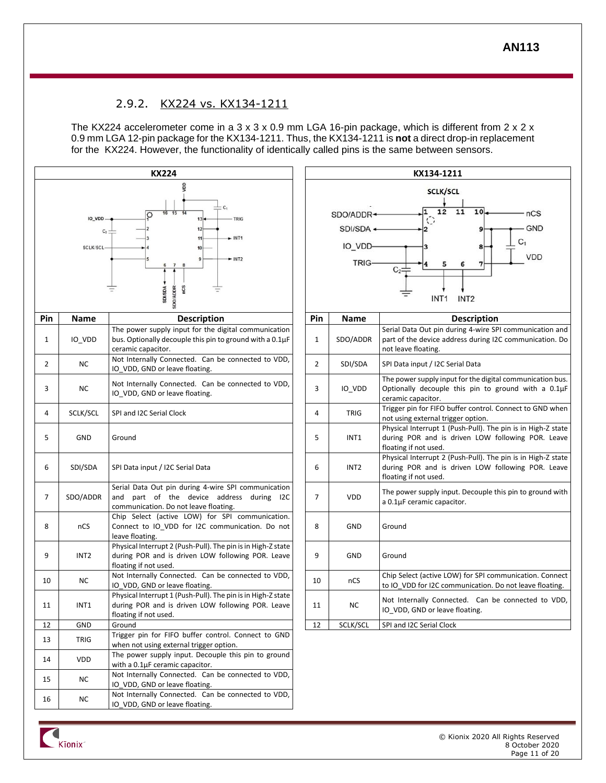## 2.9.2. KX224 vs. KX134-1211

<span id="page-10-0"></span>The KX224 accelerometer come in a 3 x 3 x 0.9 mm LGA 16-pin package, which is different from 2 x 2 x 0.9 mm LGA 12-pin package for the KX134-1211. Thus, the KX134-1211 is **not** a direct drop-in replacement for the KX224. However, the functionality of identically called pins is the same between sensors.





**Kionix**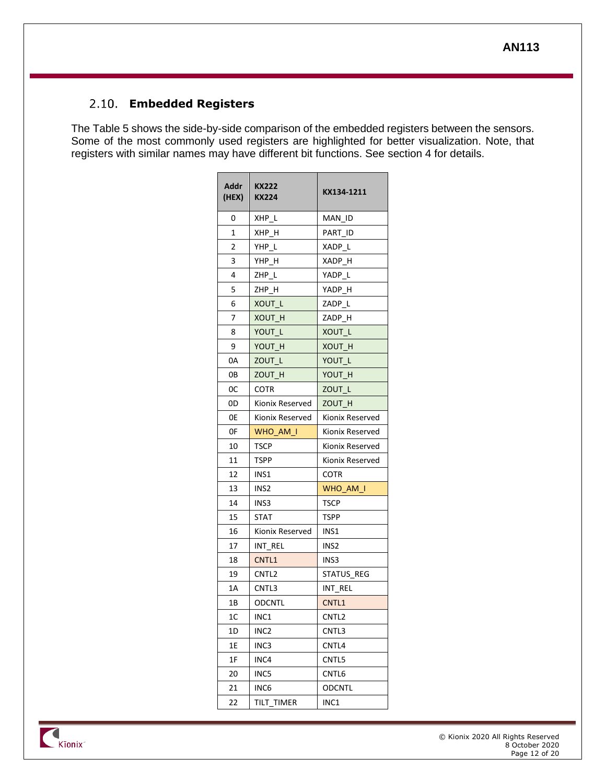# <span id="page-11-0"></span>**Embedded Registers**

The [Table 5](#page-13-3) shows the side-by-side comparison of the embedded registers between the sensors. Some of the most commonly used registers are highlighted for better visualization. Note, that registers with similar names may have different bit functions. See section [4](#page-13-1) for details.

| Addr<br>(HEX) | <b>KX222</b><br><b>KX224</b> | KX134-1211        |  |
|---------------|------------------------------|-------------------|--|
| 0             | XHP L                        | MAN ID            |  |
| 1             | XHP H                        | PART ID           |  |
| 2             | YHP L                        | XADP L            |  |
| 3             | YHP H                        | XADP H            |  |
| 4             | ZHP L                        | YADP<br>-L        |  |
| 5             | ZHP H                        | YADP H            |  |
| 6             | XOUT L                       | ZADP L            |  |
| 7             | XOUT H                       | ZADP H            |  |
| 8             | YOUT L                       | XOUT L            |  |
| 9             | YOUT H                       | XOUT H            |  |
| 0А            | ZOUT L                       | YOUT L            |  |
| 0B            | ZOUT H                       | YOUT H            |  |
| 0C            | <b>COTR</b>                  | ZOUT L            |  |
| 0D            | Kionix Reserved              | ZOUT H            |  |
| 0E            | Kionix Reserved              | Kionix Reserved   |  |
| 0F            | WHO AM I                     | Kionix Reserved   |  |
| 10            | TSCP                         | Kionix Reserved   |  |
| 11            | <b>TSPP</b>                  | Kionix Reserved   |  |
| 12            | INS1                         | COTR              |  |
| 13            | INS <sub>2</sub>             | WHO AM I          |  |
| 14            | INS3                         | TSCP              |  |
| 15            | STAT                         | TSPP              |  |
| 16            | Kionix Reserved              | INS1              |  |
| 17            | INT REL                      | INS <sub>2</sub>  |  |
| 18            | CNTL1                        | INS3              |  |
| 19            | CNTL <sub>2</sub>            | STATUS REG        |  |
| 1Α            | CNTL3                        | INT REL           |  |
| 1Β            | ODCNTL                       | CNTL1             |  |
| 1C            | INC1                         | CNTL <sub>2</sub> |  |
| 1D            | INC2                         | CNTL3             |  |
| 1E            | INC3                         | CNTL4             |  |
| 1F            | INC4                         | CNTL5             |  |
| 20            | INC5                         | CNTL6             |  |
| 21            | INC6                         | ODCNTL            |  |
| 22            | TILT TIMER                   | INC1              |  |

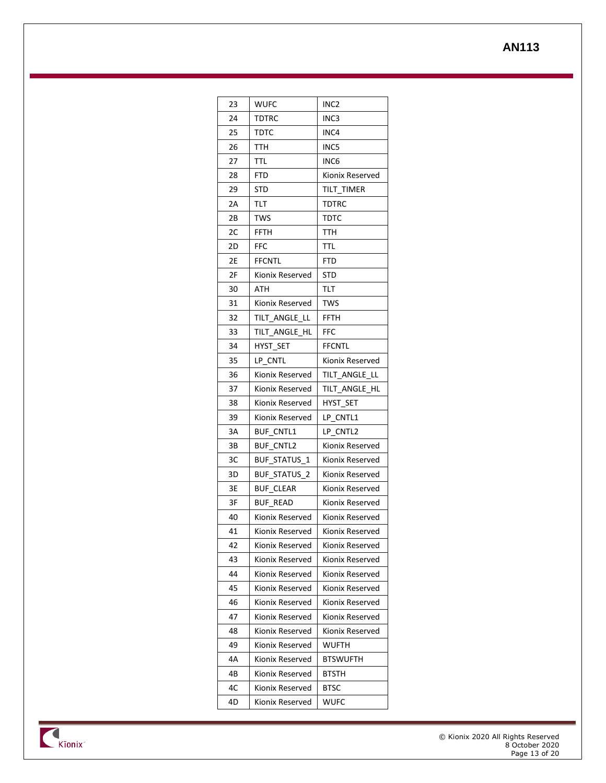| 23 | <b>WUFC</b>         | INC2            |
|----|---------------------|-----------------|
| 24 | TDTRC               | INC3            |
| 25 | тртс                | INC4            |
| 26 | TTH                 | INC5            |
| 27 | TTL                 | INC6            |
| 28 | FTD                 | Kionix Reserved |
| 29 | STD                 | tilt timer      |
| 2A | TLT                 | <b>TDTRC</b>    |
| 2В | TWS                 | тотс            |
| 2C | FFTH                | TTH             |
| 2D | FFC                 | TTL             |
| 2Е | FFCNTL              | FTD             |
| 2F | Kionix Reserved     | STD             |
| 30 | ATH                 | TLT             |
| 31 | Kionix Reserved     | TWS             |
| 32 | TILT ANGLE LL       | FFTH            |
| 33 | TILT ANGLE HL       | FFC             |
| 34 | HYST SET            | FFCNTL          |
| 35 | LP CNTL             | Kionix Reserved |
| 36 | Kionix Reserved     | TILT ANGLE LL   |
| 37 | Kionix Reserved     | TILT ANGLE HL   |
| 38 | Kionix Reserved     | HYST SET        |
| 39 | Kionix Reserved     | LP CNTL1        |
| 3A | BUF CNTL1           | LP CNTL2        |
| зв | BUF CNTL2           | Kionix Reserved |
| зс | <b>BUF STATUS 1</b> | Kionix Reserved |
| 3D | BUF STATUS<br>2     | Kionix Reserved |
| 3Е | <b>BUF CLEAR</b>    | Kionix Reserved |
| 3F | <b>BUF READ</b>     | Kionix Reserved |
| 40 | Kionix Reserved     | Kionix Reserved |
| 41 | Kionix Reserved     | Kionix Reserved |
| 42 | Kionix Reserved     | Kionix Reserved |
| 43 | Kionix Reserved     | Kionix Reserved |
| 44 | Kionix Reserved     | Kionix Reserved |
| 45 | Kionix Reserved     | Kionix Reserved |
| 46 | Kionix Reserved     | Kionix Reserved |
| 47 | Kionix Reserved     | Kionix Reserved |
| 48 | Kionix Reserved     | Kionix Reserved |
| 49 | Kionix Reserved     | WUFTH           |
| 4Α | Kionix Reserved     | BTSWUFTH        |
| 4B | Kionix Reserved     | BTSTH           |
| 4C | Kionix Reserved     | BTSC            |
| 4D | Kionix Reserved     | WUFC            |

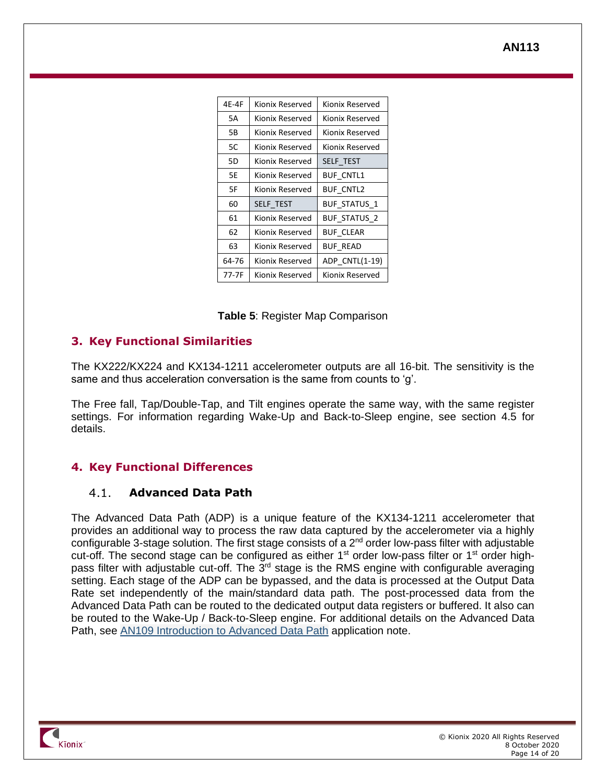| 4E-4F                 | Kionix Reserved  | Kionix Reserved     |
|-----------------------|------------------|---------------------|
| 5А                    | Kionix Reserved  | Kionix Reserved     |
| 5В                    | Kionix Reserved  | Kionix Reserved     |
| 5C                    | Kionix Reserved  | Kionix Reserved     |
| 5D                    | Kionix Reserved  | SELF TEST           |
| 5Е                    | Kionix Reserved  | <b>BUF CNTL1</b>    |
| 5F                    | Kionix Reserved  | <b>BUF CNTL2</b>    |
| 60                    | <b>SELF TEST</b> | <b>BUF STATUS 1</b> |
| 61                    | Kionix Reserved  | <b>BUF STATUS 2</b> |
| 62                    | Kionix Reserved  | <b>BUF CLEAR</b>    |
| 63<br>Kionix Reserved |                  | <b>BUF READ</b>     |
| 64-76                 | Kionix Reserved  | ADP CNTL(1-19)      |
| 77-7F                 | Kionix Reserved  | Kionix Reserved     |

### <span id="page-13-3"></span><span id="page-13-0"></span>**3. Key Functional Similarities**

The KX222/KX224 and KX134-1211 accelerometer outputs are all 16-bit. The sensitivity is the same and thus acceleration conversation is the same from counts to 'g'.

The Free fall, Tap/Double-Tap, and Tilt engines operate the same way, with the same register settings. For information regarding Wake-Up and Back-to-Sleep engine, see section [4.5](#page-16-0) for details.

### <span id="page-13-1"></span>**4. Key Functional Differences**

#### <span id="page-13-2"></span> $4.1.$ **Advanced Data Path**

The Advanced Data Path (ADP) is a unique feature of the KX134-1211 accelerometer that provides an additional way to process the raw data captured by the accelerometer via a highly configurable 3-stage solution. The first stage consists of a 2<sup>nd</sup> order low-pass filter with adjustable cut-off. The second stage can be configured as either 1<sup>st</sup> order low-pass filter or 1<sup>st</sup> order highpass filter with adjustable cut-off. The  $3<sup>rd</sup>$  stage is the RMS engine with configurable averaging setting. Each stage of the ADP can be bypassed, and the data is processed at the Output Data Rate set independently of the main/standard data path. The post-processed data from the Advanced Data Path can be routed to the dedicated output data registers or buffered. It also can be routed to the Wake-Up / Back-to-Sleep engine. For additional details on the Advanced Data Path, see AN109 [Introduction](https://www.kionix.com/technical-documents) to Advanced Data Path application note.

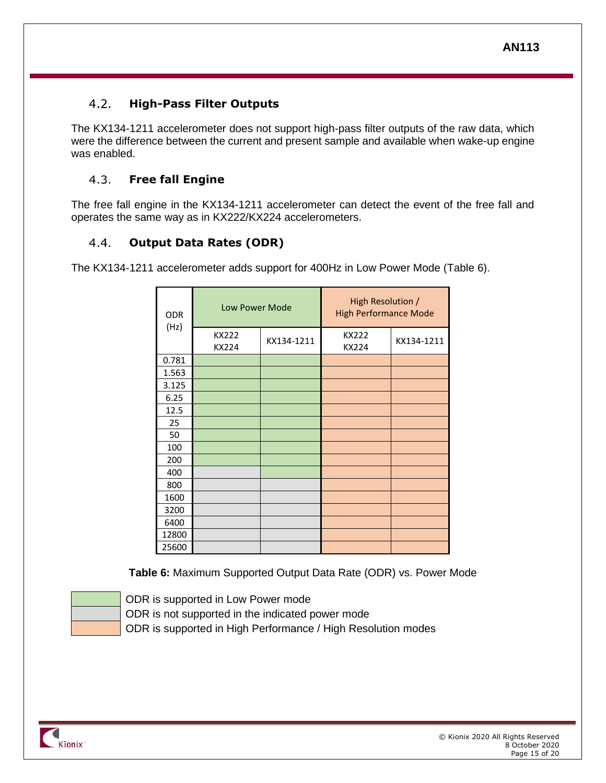#### <span id="page-14-0"></span> $4.2.$ **High-Pass Filter Outputs**

The KX134-1211 accelerometer does not support high-pass filter outputs of the raw data, which were the difference between the current and present sample and available when wake-up engine was enabled.

#### <span id="page-14-1"></span> $4.3.$ **Free fall Engine**

The free fall engine in the KX134-1211 accelerometer can detect the event of the free fall and operates the same way as in KX222/KX224 accelerometers.

### <span id="page-14-2"></span> $4.4.$ **Output Data Rates (ODR)**

The KX134-1211 accelerometer adds support for 400Hz in Low Power Mode [\(Table 6\)](#page-14-3).

| <b>ODR</b> | Low Power Mode        |            | High Resolution /<br><b>High Performance Mode</b> |            |
|------------|-----------------------|------------|---------------------------------------------------|------------|
| (Hz)       | <b>KX222</b><br>KX224 | KX134-1211 | KX222<br>KX224                                    | KX134-1211 |
| 0.781      |                       |            |                                                   |            |
| 1.563      |                       |            |                                                   |            |
| 3.125      |                       |            |                                                   |            |
| 6.25       |                       |            |                                                   |            |
| 12.5       |                       |            |                                                   |            |
| 25         |                       |            |                                                   |            |
| 50         |                       |            |                                                   |            |
| 100        |                       |            |                                                   |            |
| 200        |                       |            |                                                   |            |
| 400        |                       |            |                                                   |            |
| 800        |                       |            |                                                   |            |
| 1600       |                       |            |                                                   |            |
| 3200       |                       |            |                                                   |            |
| 6400       |                       |            |                                                   |            |
| 12800      |                       |            |                                                   |            |
| 25600      |                       |            |                                                   |            |

**Table 6:** Maximum Supported Output Data Rate (ODR) vs. Power Mode

<span id="page-14-3"></span>

ODR is supported in Low Power mode ODR is not supported in the indicated power mode

ODR is supported in High Performance / High Resolution modes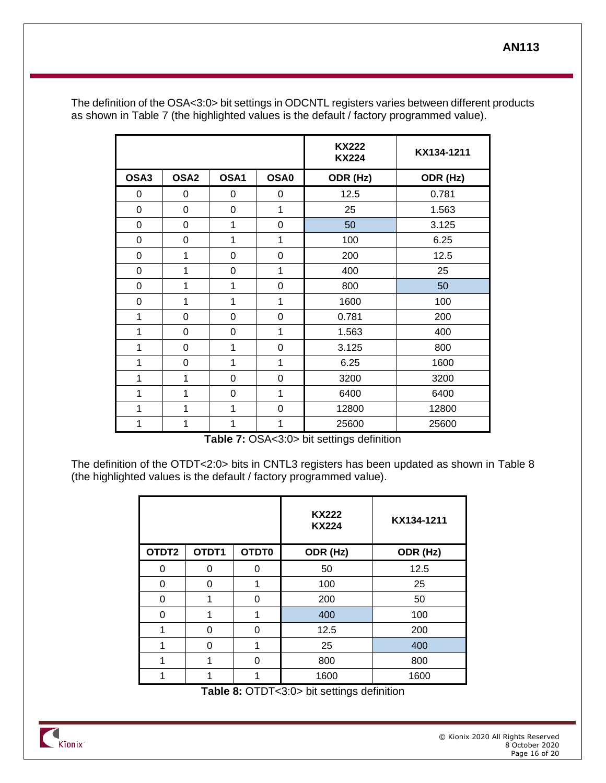|              |                  |                |                  | <b>KX222</b><br><b>KX224</b> | KX134-1211 |
|--------------|------------------|----------------|------------------|------------------------------|------------|
| OSA3         | OSA <sub>2</sub> | OSA1           | OSA <sub>0</sub> | ODR (Hz)                     | ODR (Hz)   |
| 0            | 0                | 0              | 0                | 12.5                         | 0.781      |
| 0            | 0                | $\mathbf 0$    | 1                | 25                           | 1.563      |
| 0            | 0                | 1              | 0                | 50                           | 3.125      |
| 0            | 0                | 1              | 1                | 100                          | 6.25       |
| 0            | 1                | $\overline{0}$ | 0                | 200                          | 12.5       |
| 0            | 1                | $\mathbf 0$    | 1                | 400                          | 25         |
| 0            | 1                | 1              | 0                | 800                          | 50         |
| 0            | $\mathbf{1}$     | 1              | 1                | 1600                         | 100        |
| $\mathbf{1}$ | 0                | $\mathbf 0$    | 0                | 0.781                        | 200        |
| 1            | 0                | $\mathbf 0$    | 1                | 1.563                        | 400        |
| 1            | 0                | 1              | 0                | 3.125                        | 800        |
| 1            | 0                | 1              | 1                | 6.25                         | 1600       |
| 1            | 1                | 0              | 0                | 3200                         | 3200       |
| 1            | 1                | $\mathbf 0$    | 1                | 6400                         | 6400       |
| 1            | 1                | 1              | 0                | 12800                        | 12800      |
| 1            | 1                | 1              | 1                | 25600                        | 25600      |

The definition of the OSA<3:0> bit settings in ODCNTL registers varies between different products as shown in [Table 7](#page-15-0) (the highlighted values is the default / factory programmed value).

**Table 7:** OSA<3:0> bit settings definition

<span id="page-15-0"></span>The definition of the OTDT<2:0> bits in CNTL3 registers has been updated as shown in [Table 8](#page-15-1) (the highlighted values is the default / factory programmed value).

|          |       |       | <b>KX222</b><br><b>KX224</b> | KX134-1211 |
|----------|-------|-------|------------------------------|------------|
| OTDT2    | OTDT1 | OTDT0 | ODR (Hz)                     | ODR (Hz)   |
| O        | U     | 0     | 50                           | 12.5       |
| 0        | ∩     | 1     | 100                          | 25         |
| 0        | 1     | 0     | 200                          | 50         |
| $\Omega$ | 1     | 1     | 400                          | 100        |
| 1        | ∩     | 0     | 12.5                         | 200        |
| 1        | ∩     | 1     | 25                           | 400        |
| 1        |       | 0     | 800                          | 800        |
|          |       | 1     | 1600                         | 1600       |

**Table 8:** OTDT<3:0> bit settings definition

<span id="page-15-1"></span>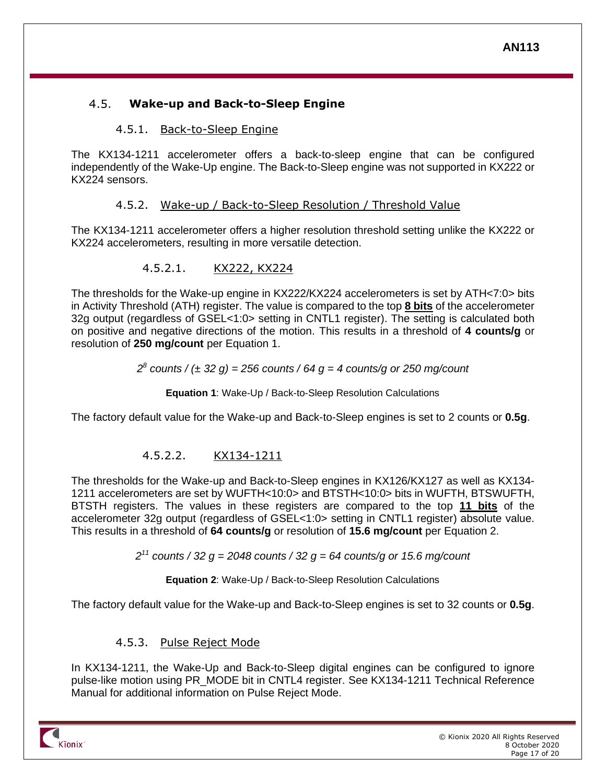### <span id="page-16-0"></span> $4.5.$ **Wake-up and Back-to-Sleep Engine**

### 4.5.1. Back-to-Sleep Engine

<span id="page-16-1"></span>The KX134-1211 accelerometer offers a back-to-sleep engine that can be configured independently of the Wake-Up engine. The Back-to-Sleep engine was not supported in KX222 or KX224 sensors.

### 4.5.2. Wake-up / Back-to-Sleep Resolution / Threshold Value

<span id="page-16-2"></span>The KX134-1211 accelerometer offers a higher resolution threshold setting unlike the KX222 or KX224 accelerometers, resulting in more versatile detection.

### 4.5.2.1. KX222, KX224

The thresholds for the Wake-up engine in KX222/KX224 accelerometers is set by ATH<7:0> bits in Activity Threshold (ATH) register. The value is compared to the top **8 bits** of the accelerometer 32g output (regardless of GSEL<1:0> setting in CNTL1 register). The setting is calculated both on positive and negative directions of the motion. This results in a threshold of **4 counts/g** or resolution of **250 mg/count** per [Equation 1.](#page-16-4)

### *2 8 counts / (± 32 g) = 256 counts / 64 g = 4 counts/g or 250 mg/count*

**Equation 1**: Wake-Up / Back-to-Sleep Resolution Calculations

<span id="page-16-4"></span>The factory default value for the Wake-up and Back-to-Sleep engines is set to 2 counts or **0.5g**.

# 4.5.2.2. KX134-1211

The thresholds for the Wake-up and Back-to-Sleep engines in KX126/KX127 as well as KX134- 1211 accelerometers are set by WUFTH<10:0> and BTSTH<10:0> bits in WUFTH, BTSWUFTH, BTSTH registers. The values in these registers are compared to the top **11 bits** of the accelerometer 32g output (regardless of GSEL<1:0> setting in CNTL1 register) absolute value. This results in a threshold of **64 counts/g** or resolution of **15.6 mg/count** per [Equation 2.](#page-16-5)

*2 <sup>11</sup> counts / 32 g = 2048 counts / 32 g = 64 counts/g or 15.6 mg/count*

**Equation 2**: Wake-Up / Back-to-Sleep Resolution Calculations

<span id="page-16-5"></span>The factory default value for the Wake-up and Back-to-Sleep engines is set to 32 counts or **0.5g**.

# 4.5.3. Pulse Reject Mode

<span id="page-16-3"></span>In KX134-1211, the Wake-Up and Back-to-Sleep digital engines can be configured to ignore pulse-like motion using PR\_MODE bit in CNTL4 register. See KX134-1211 Technical Reference Manual for additional information on Pulse Reject Mode.

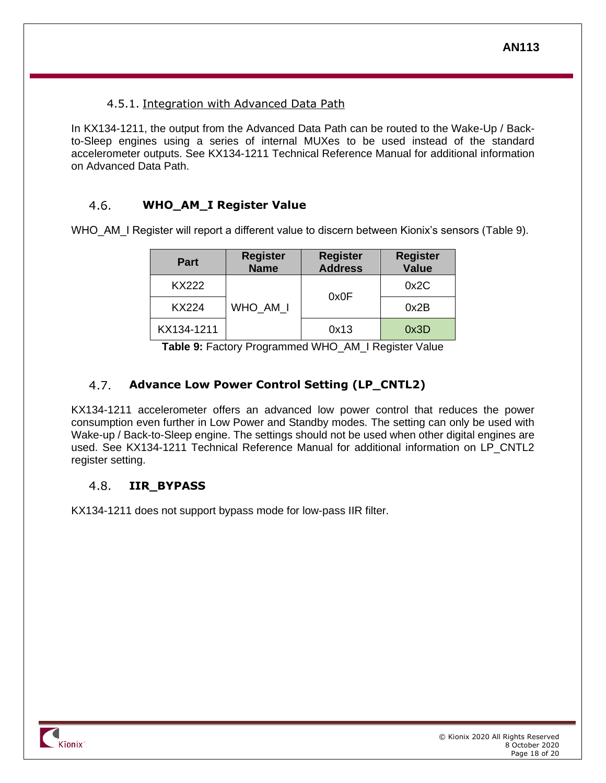### 4.5.1. Integration with Advanced Data Path

<span id="page-17-0"></span>In KX134-1211, the output from the Advanced Data Path can be routed to the Wake-Up / Backto-Sleep engines using a series of internal MUXes to be used instead of the standard accelerometer outputs. See KX134-1211 Technical Reference Manual for additional information on Advanced Data Path.

#### <span id="page-17-1"></span> $4.6.$ **WHO\_AM\_I Register Value**

WHO\_AM\_I Register will report a different value to discern between Kionix's sensors [\(Table 9\)](#page-17-4).

| <b>Part</b>  | <b>Register</b><br><b>Name</b> | <b>Register</b><br><b>Address</b> | <b>Register</b><br><b>Value</b> |
|--------------|--------------------------------|-----------------------------------|---------------------------------|
| <b>KX222</b> |                                | 0x0F                              | 0x2C                            |
| KX224        | WHO_AM_I                       |                                   | 0x2B                            |
| KX134-1211   |                                |                                   | 0x3D                            |

**Table 9:** Factory Programmed WHO\_AM\_I Register Value

#### <span id="page-17-4"></span><span id="page-17-2"></span>4.7. **Advance Low Power Control Setting (LP\_CNTL2)**

KX134-1211 accelerometer offers an advanced low power control that reduces the power consumption even further in Low Power and Standby modes. The setting can only be used with Wake-up / Back-to-Sleep engine. The settings should not be used when other digital engines are used. See KX134-1211 Technical Reference Manual for additional information on LP\_CNTL2 register setting.

#### <span id="page-17-3"></span> $4.8.$ **IIR\_BYPASS**

KX134-1211 does not support bypass mode for low-pass IIR filter.

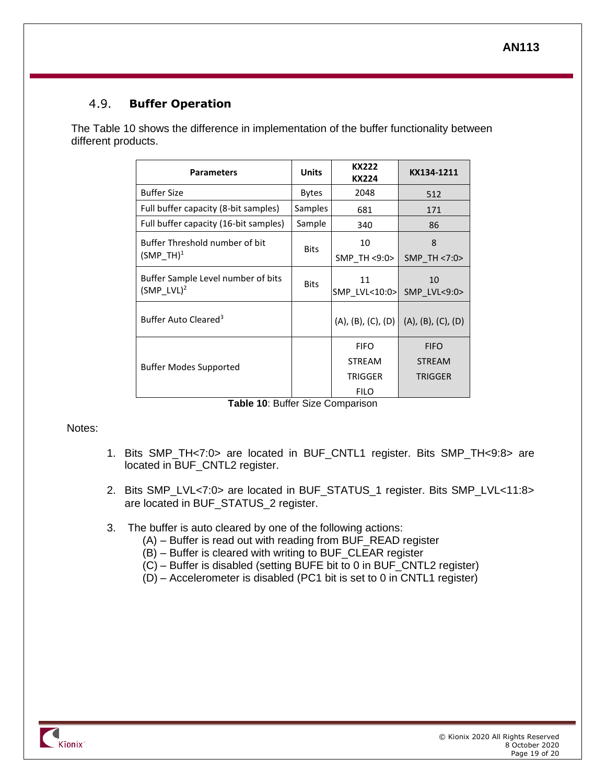#### <span id="page-18-0"></span> $4.9<sub>1</sub>$ **Buffer Operation**

The [Table 10](#page-18-2) shows the difference in implementation of the buffer functionality between different products.

| <b>Parameters</b>                                   | <b>Units</b> | KX222<br>KX224      | KX134-1211         |
|-----------------------------------------------------|--------------|---------------------|--------------------|
| <b>Buffer Size</b>                                  | <b>Bytes</b> | 2048                | 512                |
| Full buffer capacity (8-bit samples)                | Samples      | 681                 | 171                |
| Full buffer capacity (16-bit samples)               | Sample       | 340                 | 86                 |
| Buffer Threshold number of bit                      | <b>Bits</b>  | 10                  | 8                  |
| $(SMP TH)^1$                                        |              | SMP TH <9:0>        | SMP TH <7:0>       |
| Buffer Sample Level number of bits<br>$(SMP LVL)^2$ | <b>Bits</b>  | 11<br>SMP LVL<10:0> | 10<br>SMP LVL<9:0> |
| Buffer Auto Cleared <sup>3</sup>                    |              | (A), (B), (C), (D)  | (A), (B), (C), (D) |
|                                                     |              | <b>FIFO</b>         | <b>FIFO</b>        |
| <b>Buffer Modes Supported</b>                       |              | <b>STREAM</b>       | <b>STREAM</b>      |
|                                                     |              | TRIGGER             | <b>TRIGGER</b>     |
|                                                     |              | <b>FILO</b>         |                    |

| Table 10: Buffer Size Comparison |  |
|----------------------------------|--|
|----------------------------------|--|

### <span id="page-18-2"></span>Notes:

- 1. Bits SMP\_TH<7:0> are located in BUF\_CNTL1 register. Bits SMP\_TH<9:8> are located in BUF\_CNTL2 register.
- 2. Bits SMP\_LVL<7:0> are located in BUF\_STATUS\_1 register. Bits SMP\_LVL<11:8> are located in BUF\_STATUS\_2 register.
- 3. The buffer is auto cleared by one of the following actions:
	- (A) Buffer is read out with reading from BUF\_READ register
	- (B) Buffer is cleared with writing to BUF\_CLEAR register
	- (C) Buffer is disabled (setting BUFE bit to 0 in BUF\_CNTL2 register)
	- (D) Accelerometer is disabled (PC1 bit is set to 0 in CNTL1 register)

<span id="page-18-1"></span>